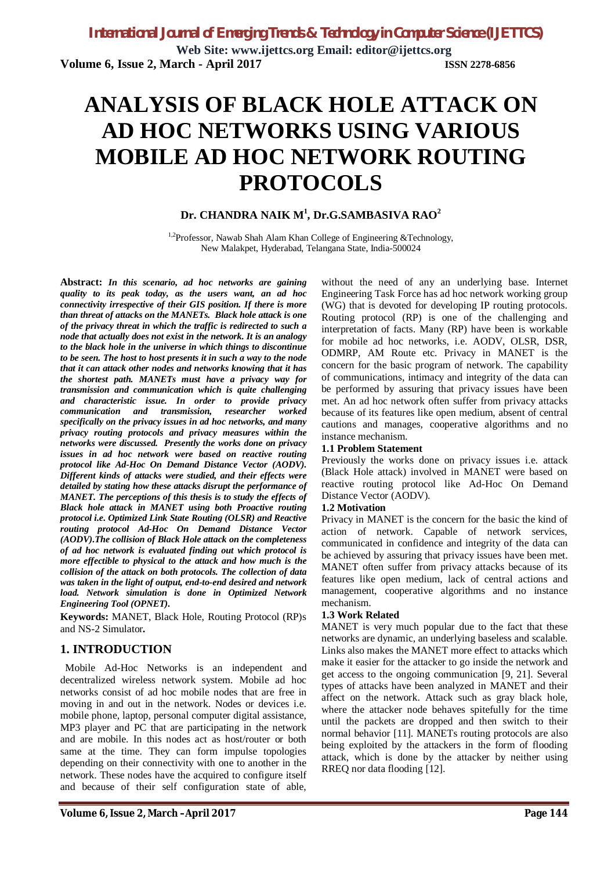**Web Site: www.ijettcs.org Email: editor@ijettcs.org Volume 6, Issue 2, March - April 2017 ISSN 2278-6856**

# **ANALYSIS OF BLACK HOLE ATTACK ON AD HOC NETWORKS USING VARIOUS MOBILE AD HOC NETWORK ROUTING PROTOCOLS**

# **Dr. CHANDRA NAIK M<sup>1</sup> , Dr.G.SAMBASIVA RAO<sup>2</sup>**

 $1.2$ Professor, Nawab Shah Alam Khan College of Engineering &Technology, New Malakpet, Hyderabad, Telangana State, India-500024

**Abstract:** *In this scenario, ad hoc networks are gaining quality to its peak today, as the users want, an ad hoc connectivity irrespective of their GIS position. If there is more than threat of attacks on the MANETs. Black hole attack is one of the privacy threat in which the traffic is redirected to such a node that actually does not exist in the network. It is an analogy to the black hole in the universe in which things to discontinue to be seen. The host to host presents it in such a way to the node that it can attack other nodes and networks knowing that it has the shortest path. MANETs must have a privacy way for transmission and communication which is quite challenging and characteristic issue. In order to provide privacy communication and transmission, researcher worked specifically on the privacy issues in ad hoc networks, and many privacy routing protocols and privacy measures within the networks were discussed. Presently the works done on privacy issues in ad hoc network were based on reactive routing protocol like Ad-Hoc On Demand Distance Vector (AODV). Different kinds of attacks were studied, and their effects were detailed by stating how these attacks disrupt the performance of MANET. The perceptions of this thesis is to study the effects of Black hole attack in MANET using both Proactive routing protocol i.e. Optimized Link State Routing (OLSR) and Reactive routing protocol Ad-Hoc On Demand Distance Vector (AODV).The collision of Black Hole attack on the completeness of ad hoc network is evaluated finding out which protocol is more effectible to physical to the attack and how much is the collision of the attack on both protocols. The collection of data was taken in the light of output, end-to-end desired and network load. Network simulation is done in Optimized Network Engineering Tool (OPNET).*

**Keywords:** MANET, Black Hole, Routing Protocol (RP)s and NS-2 Simulator*.*

## **1. INTRODUCTION**

 Mobile Ad-Hoc Networks is an independent and decentralized wireless network system. Mobile ad hoc networks consist of ad hoc mobile nodes that are free in moving in and out in the network. Nodes or devices i.e. mobile phone, laptop, personal computer digital assistance, MP3 player and PC that are participating in the network and are mobile. In this nodes act as host/router or both same at the time. They can form impulse topologies depending on their connectivity with one to another in the network. These nodes have the acquired to configure itself and because of their self configuration state of able,

without the need of any an underlying base. Internet Engineering Task Force has ad hoc network working group (WG) that is devoted for developing IP routing protocols. Routing protocol (RP) is one of the challenging and interpretation of facts. Many (RP) have been is workable for mobile ad hoc networks, i.e. AODV, OLSR, DSR, ODMRP, AM Route etc. Privacy in MANET is the concern for the basic program of network. The capability of communications, intimacy and integrity of the data can be performed by assuring that privacy issues have been met. An ad hoc network often suffer from privacy attacks because of its features like open medium, absent of central cautions and manages, cooperative algorithms and no instance mechanism.

#### **1.1 Problem Statement**

Previously the works done on privacy issues i.e. attack (Black Hole attack) involved in MANET were based on reactive routing protocol like Ad-Hoc On Demand Distance Vector (AODV).

#### **1.2 Motivation**

Privacy in MANET is the concern for the basic the kind of action of network. Capable of network services, communicated in confidence and integrity of the data can be achieved by assuring that privacy issues have been met. MANET often suffer from privacy attacks because of its features like open medium, lack of central actions and management, cooperative algorithms and no instance mechanism.

#### **1.3 Work Related**

MANET is very much popular due to the fact that these networks are dynamic, an underlying baseless and scalable. Links also makes the MANET more effect to attacks which make it easier for the attacker to go inside the network and get access to the ongoing communication [9, 21]. Several types of attacks have been analyzed in MANET and their affect on the network. Attack such as gray black hole, where the attacker node behaves spitefully for the time until the packets are dropped and then switch to their normal behavior [11]. MANETs routing protocols are also being exploited by the attackers in the form of flooding attack, which is done by the attacker by neither using RREQ nor data flooding [12].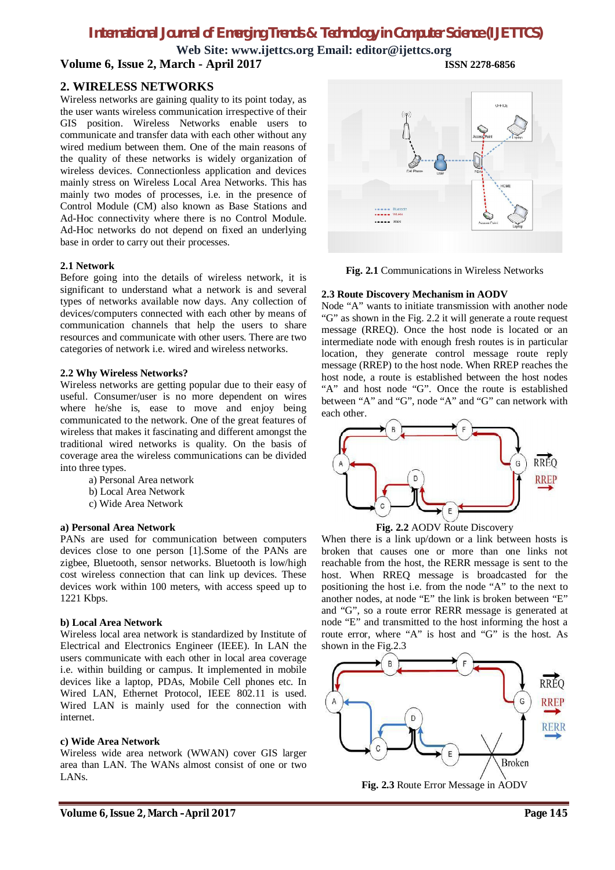**Web Site: www.ijettcs.org Email: editor@ijettcs.org Volume 6, Issue 2, March - April 2017 ISSN 2278-6856**

### **2. WIRELESS NETWORKS**

Wireless networks are gaining quality to its point today, as the user wants wireless communication irrespective of their GIS position. Wireless Networks enable users to communicate and transfer data with each other without any wired medium between them. One of the main reasons of the quality of these networks is widely organization of wireless devices. Connectionless application and devices mainly stress on Wireless Local Area Networks. This has mainly two modes of processes, i.e. in the presence of Control Module (CM) also known as Base Stations and Ad-Hoc connectivity where there is no Control Module. Ad-Hoc networks do not depend on fixed an underlying base in order to carry out their processes.

#### **2.1 Network**

Before going into the details of wireless network, it is significant to understand what a network is and several types of networks available now days. Any collection of devices/computers connected with each other by means of communication channels that help the users to share resources and communicate with other users. There are two categories of network i.e. wired and wireless networks.

#### **2.2 Why Wireless Networks?**

Wireless networks are getting popular due to their easy of useful. Consumer/user is no more dependent on wires where he/she is, ease to move and enjoy being communicated to the network. One of the great features of wireless that makes it fascinating and different amongst the traditional wired networks is quality. On the basis of coverage area the wireless communications can be divided into three types.

- a) Personal Area network
- b) Local Area Network
- c) Wide Area Network

#### **a) Personal Area Network**

PANs are used for communication between computers devices close to one person [1].Some of the PANs are zigbee, Bluetooth, sensor networks. Bluetooth is low/high cost wireless connection that can link up devices. These devices work within 100 meters, with access speed up to 1221 Kbps.

#### **b) Local Area Network**

Wireless local area network is standardized by Institute of Electrical and Electronics Engineer (IEEE). In LAN the users communicate with each other in local area coverage i.e. within building or campus. It implemented in mobile devices like a laptop, PDAs, Mobile Cell phones etc. In Wired LAN, Ethernet Protocol, IEEE 802.11 is used. Wired LAN is mainly used for the connection with internet.

#### **c) Wide Area Network**

Wireless wide area network (WWAN) cover GIS larger area than LAN. The WANs almost consist of one or two LANs.



**Fig. 2.1** Communications in Wireless Networks

#### **2.3 Route Discovery Mechanism in AODV**

Node "A" wants to initiate transmission with another node "G" as shown in the Fig. 2.2 it will generate a route request message (RREQ). Once the host node is located or an intermediate node with enough fresh routes is in particular location, they generate control message route reply message (RREP) to the host node. When RREP reaches the host node, a route is established between the host nodes "A" and host node "G". Once the route is established between "A" and "G", node "A" and "G" can network with each other.



**Fig. 2.2** AODV Route Discovery

When there is a link up/down or a link between hosts is broken that causes one or more than one links not reachable from the host, the RERR message is sent to the host. When RREQ message is broadcasted for the positioning the host i.e. from the node "A" to the next to another nodes, at node "E" the link is broken between "E" and "G", so a route error RERR message is generated at node "E" and transmitted to the host informing the host a route error, where "A" is host and "G" is the host. As shown in the Fig.2.3



**Fig. 2.3** Route Error Message in AODV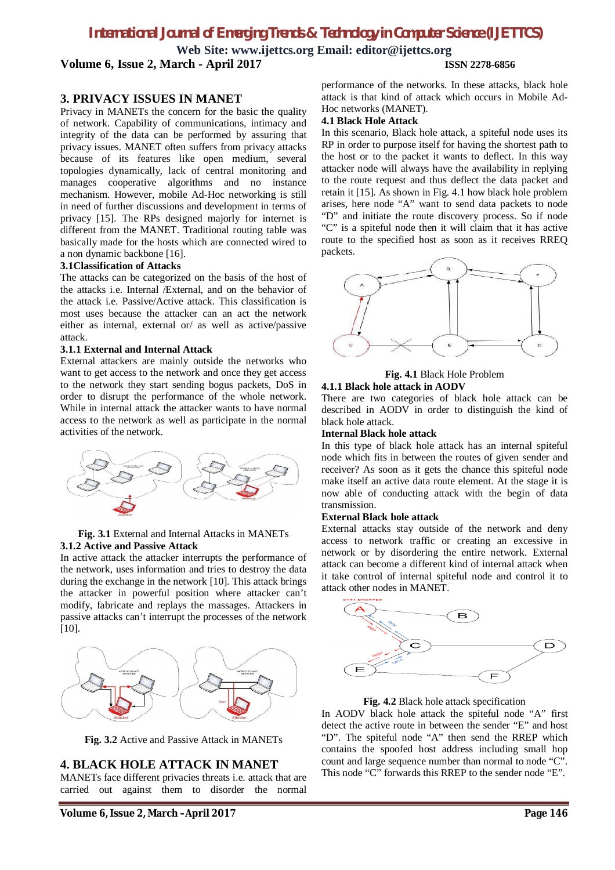**Web Site: www.ijettcs.org Email: editor@ijettcs.org Volume 6, Issue 2, March - April 2017 ISSN 2278-6856**

#### **3. PRIVACY ISSUES IN MANET**

Privacy in MANETs the concern for the basic the quality of network. Capability of communications, intimacy and integrity of the data can be performed by assuring that privacy issues. MANET often suffers from privacy attacks because of its features like open medium, several topologies dynamically, lack of central monitoring and manages cooperative algorithms and no instance mechanism. However, mobile Ad-Hoc networking is still in need of further discussions and development in terms of privacy [15]. The RPs designed majorly for internet is different from the MANET. Traditional routing table was basically made for the hosts which are connected wired to a non dynamic backbone [16].

#### **3.1Classification of Attacks**

The attacks can be categorized on the basis of the host of the attacks i.e. Internal /External, and on the behavior of the attack i.e. Passive/Active attack. This classification is most uses because the attacker can an act the network either as internal, external or/ as well as active/passive attack.

#### **3.1.1 External and Internal Attack**

External attackers are mainly outside the networks who want to get access to the network and once they get access to the network they start sending bogus packets, DoS in order to disrupt the performance of the whole network. While in internal attack the attacker wants to have normal access to the network as well as participate in the normal activities of the network.



#### **Fig. 3.1** External and Internal Attacks in MANETs **3.1.2 Active and Passive Attack**

In active attack the attacker interrupts the performance of the network, uses information and tries to destroy the data during the exchange in the network [10]. This attack brings the attacker in powerful position where attacker can't modify, fabricate and replays the massages. Attackers in passive attacks can't interrupt the processes of the network [10].



**Fig. 3.2** Active and Passive Attack in MANETs

#### **4. BLACK HOLE ATTACK IN MANET**

MANETs face different privacies threats i.e. attack that are carried out against them to disorder the normal

performance of the networks. In these attacks, black hole attack is that kind of attack which occurs in Mobile Ad-Hoc networks (MANET).

#### **4.1 Black Hole Attack**

In this scenario, Black hole attack, a spiteful node uses its RP in order to purpose itself for having the shortest path to the host or to the packet it wants to deflect. In this way attacker node will always have the availability in replying to the route request and thus deflect the data packet and retain it [15]. As shown in Fig. 4.1 how black hole problem arises, here node "A" want to send data packets to node "D" and initiate the route discovery process. So if node "C" is a spiteful node then it will claim that it has active route to the specified host as soon as it receives RREQ packets.



**Fig. 4.1** Black Hole Problem **4.1.1 Black hole attack in AODV** 

There are two categories of black hole attack can be described in AODV in order to distinguish the kind of black hole attack.

#### **Internal Black hole attack**

In this type of black hole attack has an internal spiteful node which fits in between the routes of given sender and receiver? As soon as it gets the chance this spiteful node make itself an active data route element. At the stage it is now able of conducting attack with the begin of data transmission.

#### **External Black hole attack**

External attacks stay outside of the network and deny access to network traffic or creating an excessive in network or by disordering the entire network. External attack can become a different kind of internal attack when it take control of internal spiteful node and control it to attack other nodes in MANET.



**Fig. 4.2** Black hole attack specification

In AODV black hole attack the spiteful node "A" first detect the active route in between the sender "E" and host "D". The spiteful node "A" then send the RREP which contains the spoofed host address including small hop count and large sequence number than normal to node "C". This node "C" forwards this RREP to the sender node "E".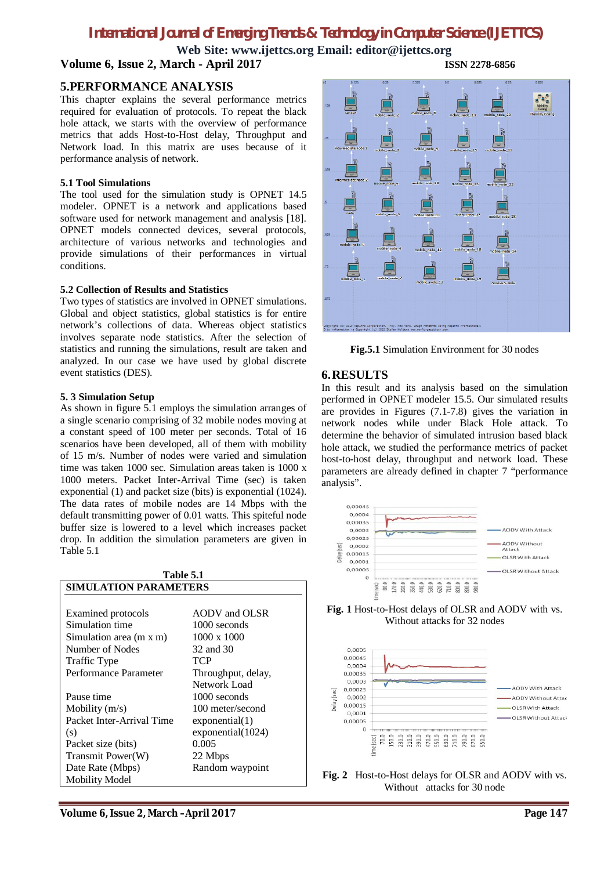**Web Site: www.ijettcs.org Email: editor@ijettcs.org Volume 6, Issue 2, March - April 2017 ISSN 2278-6856**

#### **5.PERFORMANCE ANALYSIS**

This chapter explains the several performance metrics required for evaluation of protocols. To repeat the black hole attack, we starts with the overview of performance metrics that adds Host-to-Host delay, Throughput and Network load. In this matrix are uses because of it performance analysis of network.

#### **5.1 Tool Simulations**

The tool used for the simulation study is OPNET 14.5 modeler. OPNET is a network and applications based software used for network management and analysis [18]. OPNET models connected devices, several protocols, architecture of various networks and technologies and provide simulations of their performances in virtual conditions.

#### **5.2 Collection of Results and Statistics**

Two types of statistics are involved in OPNET simulations. Global and object statistics, global statistics is for entire network's collections of data. Whereas object statistics involves separate node statistics. After the selection of statistics and running the simulations, result are taken and analyzed. In our case we have used by global discrete event statistics (DES).

#### **5. 3 Simulation Setup**

As shown in figure 5.1 employs the simulation arranges of a single scenario comprising of 32 mobile nodes moving at a constant speed of 100 meter per seconds. Total of 16 scenarios have been developed, all of them with mobility of 15 m/s. Number of nodes were varied and simulation time was taken 1000 sec. Simulation areas taken is 1000 x 1000 meters. Packet Inter-Arrival Time (sec) is taken exponential (1) and packet size (bits) is exponential (1024). The data rates of mobile nodes are 14 Mbps with the default transmitting power of 0.01 watts. This spiteful node buffer size is lowered to a level which increases packet drop. In addition the simulation parameters are given in Table 5.1

| <b>Table 5.1</b>             |                    |
|------------------------------|--------------------|
| <b>SIMULATION PARAMETERS</b> |                    |
|                              |                    |
| Examined protocols           | AODV and OLSR      |
| Simulation time              | 1000 seconds       |
| Simulation area (m x m)      | $1000 \times 1000$ |
| Number of Nodes              | 32 and 30          |
| Traffic Type                 | TCP                |
| Performance Parameter        | Throughput, delay, |
|                              | Network Load       |
| Pause time                   | 1000 seconds       |
| Mobility $(m/s)$             | 100 meter/second   |
| Packet Inter-Arrival Time    | exponential(1)     |
| (s)                          | exponential(1024)  |
| Packet size (bits)           | 0.005              |
| Transmit Power(W)            | 22 Mbps            |
| Date Rate (Mbps)             | Random waypoint    |
| <b>Mobility Model</b>        |                    |



**Fig.5.1** Simulation Environment for 30 nodes

#### **6.RESULTS**

In this result and its analysis based on the simulation performed in OPNET modeler 15.5. Our simulated results are provides in Figures (7.1-7.8) gives the variation in network nodes while under Black Hole attack. To determine the behavior of simulated intrusion based black hole attack, we studied the performance metrics of packet host-to-host delay, throughput and network load. These parameters are already defined in chapter 7 "performance analysis".



**Fig. 1** Host-to-Host delays of OLSR and AODV with vs. Without attacks for 32 nodes



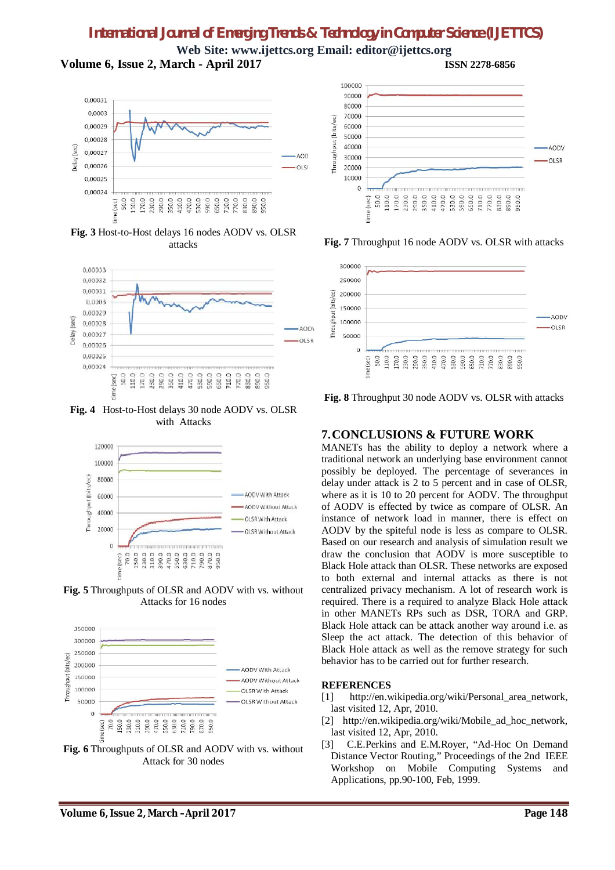**Web Site: www.ijettcs.org Email: editor@ijettcs.org Volume 6, Issue 2, March - April 2017 ISSN 2278-6856**



**Fig. 3** Host-to-Host delays 16 nodes AODV vs. OLSR attacks



**Fig. 4** Host-to-Host delays 30 node AODV vs. OLSR with Attacks



**Fig. 5** Throughputs of OLSR and AODV with vs. without Attacks for 16 nodes



**Fig. 6** Throughputs of OLSR and AODV with vs. without Attack for 30 nodes



**Fig. 7** Throughput 16 node AODV vs. OLSR with attacks



**Fig. 8** Throughput 30 node AODV vs. OLSR with attacks

# **7.CONCLUSIONS & FUTURE WORK**

MANETs has the ability to deploy a network where a traditional network an underlying base environment cannot possibly be deployed. The percentage of severances in delay under attack is 2 to 5 percent and in case of OLSR, where as it is 10 to 20 percent for AODV. The throughput of AODV is effected by twice as compare of OLSR. An instance of network load in manner, there is effect on AODV by the spiteful node is less as compare to OLSR. Based on our research and analysis of simulation result we draw the conclusion that AODV is more susceptible to Black Hole attack than OLSR. These networks are exposed to both external and internal attacks as there is not centralized privacy mechanism. A lot of research work is required. There is a required to analyze Black Hole attack in other MANETs RPs such as DSR, TORA and GRP. Black Hole attack can be attack another way around i.e. as Sleep the act attack. The detection of this behavior of Black Hole attack as well as the remove strategy for such behavior has to be carried out for further research.

#### **REFERENCES**

- [1] http://en.wikipedia.org/wiki/Personal\_area\_network, last visited 12, Apr, 2010.
- [2] http://en.wikipedia.org/wiki/Mobile ad hoc network, last visited 12, Apr, 2010.
- [3] C.E.Perkins and E.M.Royer, "Ad-Hoc On Demand Distance Vector Routing," Proceedings of the 2nd IEEE Workshop on Mobile Computing Systems and Applications, pp.90-100, Feb, 1999.